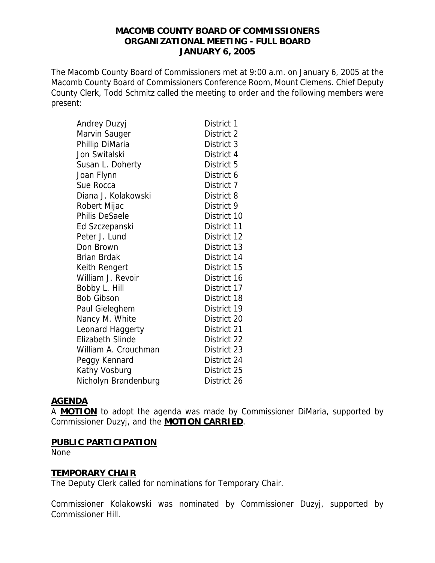## **MACOMB COUNTY BOARD OF COMMISSIONERS ORGANIZATIONAL MEETING - FULL BOARD JANUARY 6, 2005**

The Macomb County Board of Commissioners met at 9:00 a.m. on January 6, 2005 at the Macomb County Board of Commissioners Conference Room, Mount Clemens. Chief Deputy County Clerk, Todd Schmitz called the meeting to order and the following members were present:

| Andrey Duzyj          | District 1  |
|-----------------------|-------------|
| Marvin Sauger         | District 2  |
| Phillip DiMaria       | District 3  |
| Jon Switalski         | District 4  |
| Susan L. Doherty      | District 5  |
| Joan Flynn            | District 6  |
| Sue Rocca             | District 7  |
| Diana J. Kolakowski   | District 8  |
| Robert Mijac          | District 9  |
| <b>Philis DeSaele</b> | District 10 |
| Ed Szczepanski        | District 11 |
| Peter J. Lund         | District 12 |
| Don Brown             | District 13 |
| Brian Brdak           | District 14 |
| Keith Rengert         | District 15 |
| William J. Revoir     | District 16 |
| Bobby L. Hill         | District 17 |
| <b>Bob Gibson</b>     | District 18 |
| Paul Gieleghem        | District 19 |
| Nancy M. White        | District 20 |
| Leonard Haggerty      | District 21 |
| Elizabeth Slinde      | District 22 |
| William A. Crouchman  | District 23 |
| Peggy Kennard         | District 24 |
| Kathy Vosburg         | District 25 |
| Nicholyn Brandenburg  | District 26 |
|                       |             |

### **AGENDA**

A **MOTION** to adopt the agenda was made by Commissioner DiMaria, supported by Commissioner Duzyj, and the **MOTION CARRIED**.

### **PUBLIC PARTICIPATION**

None

# **TEMPORARY CHAIR**

The Deputy Clerk called for nominations for Temporary Chair.

Commissioner Kolakowski was nominated by Commissioner Duzyj, supported by Commissioner Hill.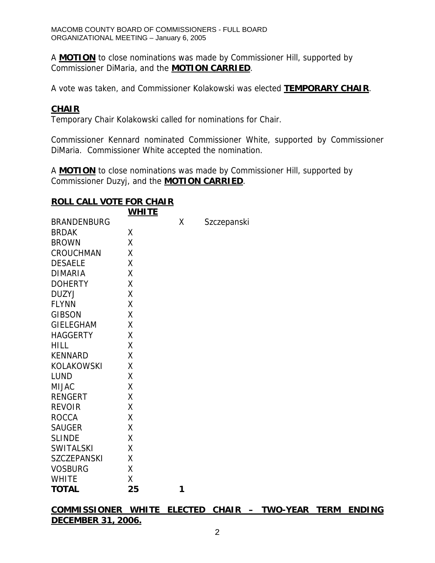A **MOTION** to close nominations was made by Commissioner Hill, supported by Commissioner DiMaria, and the **MOTION CARRIED**.

A vote was taken, and Commissioner Kolakowski was elected **TEMPORARY CHAIR**.

### **CHAIR**

Temporary Chair Kolakowski called for nominations for Chair.

Commissioner Kennard nominated Commissioner White, supported by Commissioner DiMaria. Commissioner White accepted the nomination.

A **MOTION** to close nominations was made by Commissioner Hill, supported by Commissioner Duzyj, and the **MOTION CARRIED**.

## **ROLL CALL VOTE FOR CHAIR**

|                    | <b>WHITE</b> |   |             |
|--------------------|--------------|---|-------------|
| <b>BRANDENBURG</b> |              | X | Szczepanski |
| <b>BRDAK</b>       | Χ            |   |             |
| <b>BROWN</b>       | Χ            |   |             |
| <b>CROUCHMAN</b>   | Χ            |   |             |
| <b>DESAELE</b>     | χ            |   |             |
| <b>DIMARIA</b>     | Χ            |   |             |
| <b>DOHERTY</b>     | Χ            |   |             |
| <b>DUZYJ</b>       | χ            |   |             |
| <b>FLYNN</b>       | Χ            |   |             |
| <b>GIBSON</b>      | Χ            |   |             |
| <b>GIELEGHAM</b>   | χ            |   |             |
| <b>HAGGERTY</b>    | Χ            |   |             |
| <b>HILL</b>        | Χ            |   |             |
| <b>KENNARD</b>     | Χ            |   |             |
| <b>KOLAKOWSKI</b>  | Χ            |   |             |
| <b>LUND</b>        | Χ            |   |             |
| <b>MIJAC</b>       | Χ            |   |             |
| <b>RENGERT</b>     | Χ            |   |             |
| <b>REVOIR</b>      | Χ            |   |             |
| <b>ROCCA</b>       | X            |   |             |
| <b>SAUGER</b>      | X            |   |             |
| <b>SLINDE</b>      | Χ            |   |             |
| <b>SWITALSKI</b>   | X            |   |             |
| <b>SZCZEPANSKI</b> | Χ            |   |             |
| <b>VOSBURG</b>     | X            |   |             |
| <b>WHITE</b>       | χ            |   |             |
| <b>TOTAL</b>       | 25           | 1 |             |

**COMMISSIONER WHITE ELECTED CHAIR – TWO-YEAR TERM ENDING DECEMBER 31, 2006.**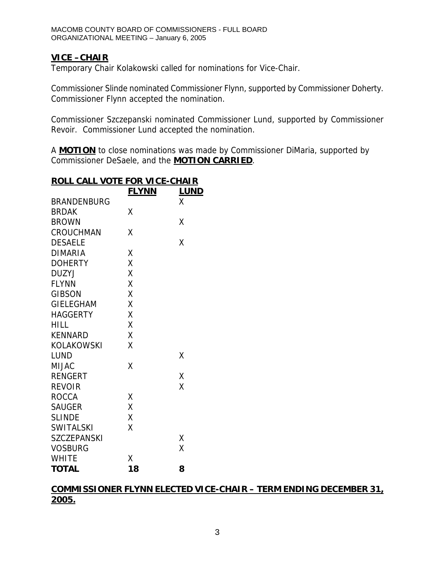# **VICE –CHAIR**

Temporary Chair Kolakowski called for nominations for Vice-Chair.

Commissioner Slinde nominated Commissioner Flynn, supported by Commissioner Doherty. Commissioner Flynn accepted the nomination.

Commissioner Szczepanski nominated Commissioner Lund, supported by Commissioner Revoir. Commissioner Lund accepted the nomination.

A **MOTION** to close nominations was made by Commissioner DiMaria, supported by Commissioner DeSaele, and the **MOTION CARRIED**.

|                    | <u>FLYNN</u> | <b>LUND</b> |
|--------------------|--------------|-------------|
| <b>BRANDENBURG</b> |              | Χ           |
| <b>BRDAK</b>       | χ            |             |
| <b>BROWN</b>       |              | Χ           |
| CROUCHMAN          | Χ            |             |
| <b>DESAELE</b>     |              | Χ           |
| <b>DIMARIA</b>     | Χ            |             |
| <b>DOHERTY</b>     | Χ            |             |
| <b>DUZYJ</b>       | Χ            |             |
| <b>FLYNN</b>       | X            |             |
| <b>GIBSON</b>      | X            |             |
| <b>GIELEGHAM</b>   | X            |             |
| <b>HAGGERTY</b>    | X            |             |
| <b>HILL</b>        | Χ            |             |
| <b>KENNARD</b>     | X            |             |
| <b>KOLAKOWSKI</b>  | χ            |             |
| <b>LUND</b>        |              | Χ           |
| <b>MIJAC</b>       | Χ            |             |
| <b>RENGERT</b>     |              | Χ           |
| <b>REVOIR</b>      |              | Χ           |
| <b>ROCCA</b>       | Χ            |             |
| <b>SAUGER</b>      | Χ            |             |
| <b>SLINDE</b>      | X            |             |
| <b>SWITALSKI</b>   | Χ            |             |
| <b>SZCZEPANSKI</b> |              | Χ           |
| <b>VOSBURG</b>     |              | χ           |
| <b>WHITE</b>       | Χ            |             |
| <b>TOTAL</b>       | 18           | 8           |

# **ROLL CALL VOTE FOR VICE-CHAIR**

## **COMMISSIONER FLYNN ELECTED VICE-CHAIR – TERM ENDING DECEMBER 31, 2005.**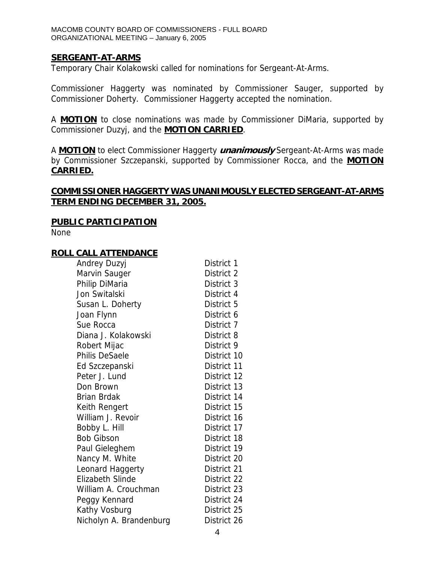### **SERGEANT-AT-ARMS**

Temporary Chair Kolakowski called for nominations for Sergeant-At-Arms.

Commissioner Haggerty was nominated by Commissioner Sauger, supported by Commissioner Doherty. Commissioner Haggerty accepted the nomination.

A **MOTION** to close nominations was made by Commissioner DiMaria, supported by Commissioner Duzyj, and the **MOTION CARRIED**.

A **MOTION** to elect Commissioner Haggerty **unanimously** Sergeant-At-Arms was made by Commissioner Szczepanski, supported by Commissioner Rocca, and the **MOTION CARRIED.**

## **COMMISSIONER HAGGERTY WAS UNANIMOUSLY ELECTED SERGEANT-AT-ARMS TERM ENDING DECEMBER 31, 2005.**

### **PUBLIC PARTICIPATION**

None

#### **ROLL CALL ATTENDANCE**

| Andrey Duzyj            | District 1  |
|-------------------------|-------------|
| Marvin Sauger           | District 2  |
| Philip DiMaria          | District 3  |
| Jon Switalski           | District 4  |
| Susan L. Doherty        | District 5  |
| Joan Flynn              | District 6  |
| Sue Rocca               | District 7  |
| Diana J. Kolakowski     | District 8  |
| Robert Mijac            | District 9  |
| Philis DeSaele          | District 10 |
| Ed Szczepanski          | District 11 |
| Peter J. Lund           | District 12 |
| Don Brown               | District 13 |
| Brian Brdak             | District 14 |
| Keith Rengert           | District 15 |
| William J. Revoir       | District 16 |
| Bobby L. Hill           | District 17 |
| <b>Bob Gibson</b>       | District 18 |
| Paul Gieleghem          | District 19 |
| Nancy M. White          | District 20 |
| Leonard Haggerty        | District 21 |
| <b>Elizabeth Slinde</b> | District 22 |
| William A. Crouchman    | District 23 |
| Peggy Kennard           | District 24 |
| Kathy Vosburg           | District 25 |
| Nicholyn A. Brandenburg | District 26 |